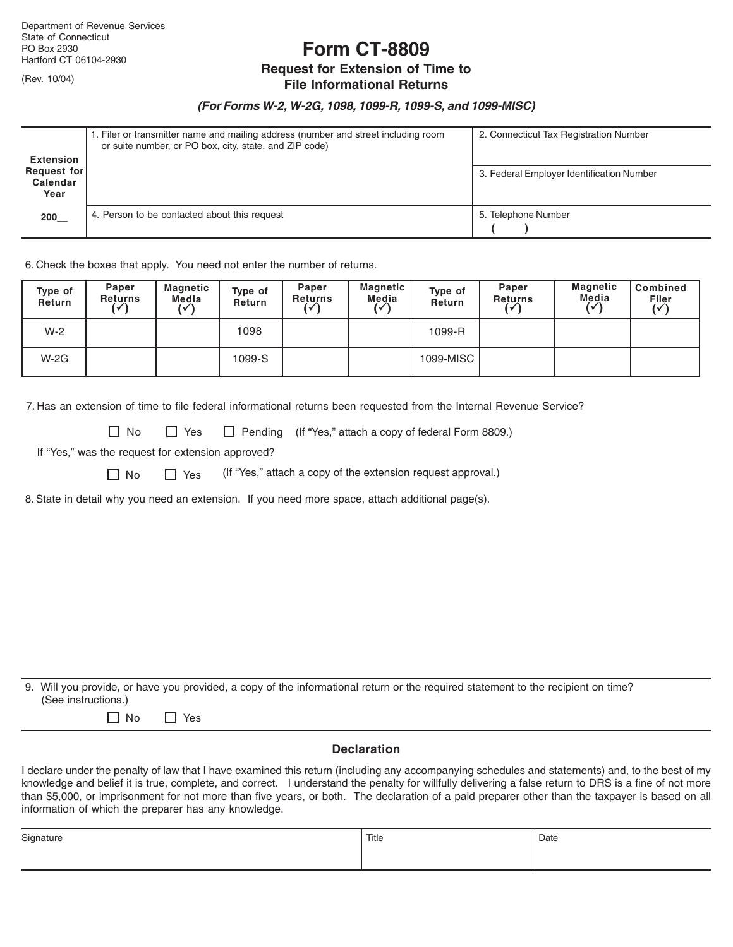(Rev. 10/04)

**Form CT-8809**

# **Request for Extension of Time to**

## **File Informational Returns**

### *(For Forms W-2, W-2G, 1098, 1099-R, 1099-S, and 1099-MISC)*

| Extension                       | 1. Filer or transmitter name and mailing address (number and street including room<br>or suite number, or PO box, city, state, and ZIP code) | 2. Connecticut Tax Registration Number    |
|---------------------------------|----------------------------------------------------------------------------------------------------------------------------------------------|-------------------------------------------|
| Request for<br>Calendar<br>Year |                                                                                                                                              | 3. Federal Employer Identification Number |
| 200                             | 4. Person to be contacted about this request                                                                                                 | 5. Telephone Number                       |

6. Check the boxes that apply. You need not enter the number of returns.

| Type of<br>Return | Paper<br><b>Returns</b><br>√ | Magnetic<br>Media | Type of<br><b>Return</b> | Paper<br><b>Returns</b> | Magnetic<br>Media<br>$\sqrt{ }$ | Type of<br>Return | Paper<br><b>Returns</b> | <b>Magnetic</b><br>Media | Combined<br>$\overline{(\sqrt{)}}$ |
|-------------------|------------------------------|-------------------|--------------------------|-------------------------|---------------------------------|-------------------|-------------------------|--------------------------|------------------------------------|
| $W-2$             |                              |                   | 1098                     |                         |                                 | 1099-R            |                         |                          |                                    |
| $W-2G$            |                              |                   | 1099-S                   |                         |                                 | 1099-MISC         |                         |                          |                                    |

7. Has an extension of time to file federal informational returns been requested from the Internal Revenue Service?

□ No □ Yes □ Pending (If "Yes," attach a copy of federal Form 8809.)

If "Yes," was the request for extension approved?

 $\Box$  No  $\Box$  Yes (If "Yes," attach a copy of the extension request approval.)

8. State in detail why you need an extension. If you need more space, attach additional page(s).

9. Will you provide, or have you provided, a copy of the informational return or the required statement to the recipient on time? (See instructions.)

No Yes

#### **Declaration**

I declare under the penalty of law that I have examined this return (including any accompanying schedules and statements) and, to the best of my knowledge and belief it is true, complete, and correct. I understand the penalty for willfully delivering a false return to DRS is a fine of not more than \$5,000, or imprisonment for not more than five years, or both. The declaration of a paid preparer other than the taxpayer is based on all information of which the preparer has any knowledge.

| Signature | Title | Date |
|-----------|-------|------|
|           |       |      |